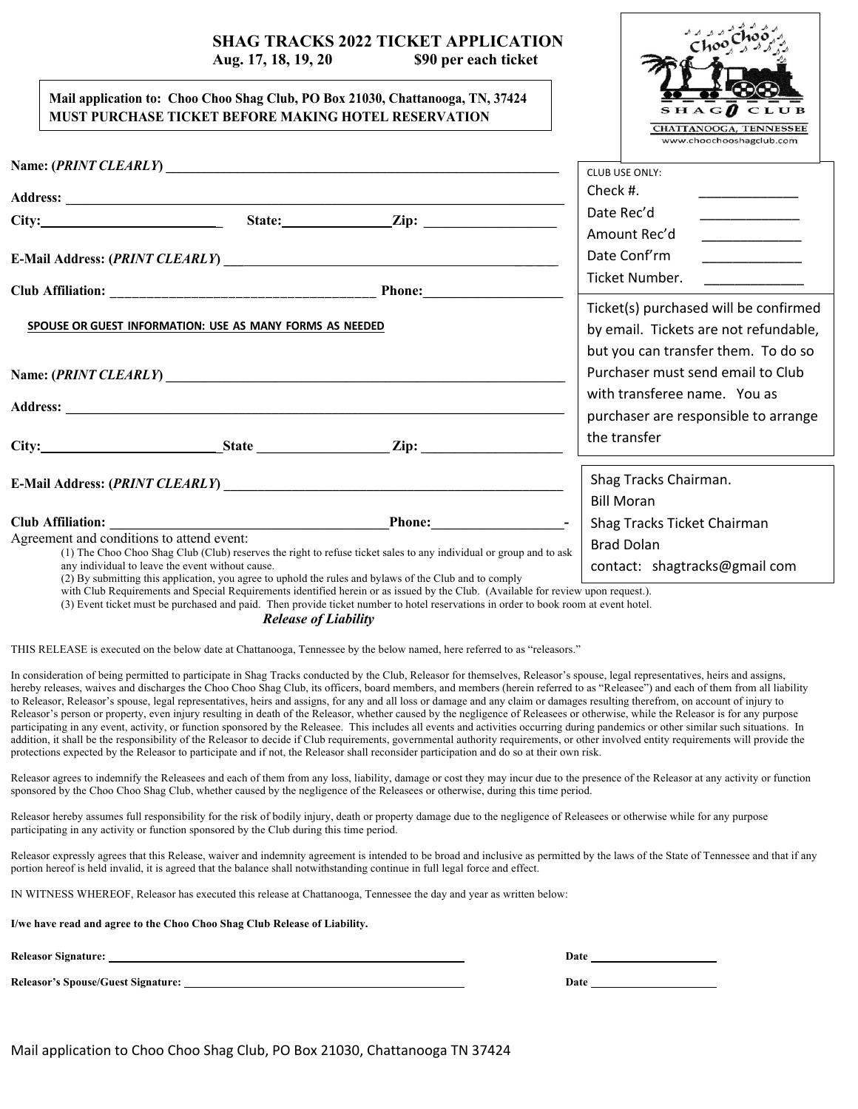# **SHAG TRACKS 2022 TICKET APPLICATION**

# **Aug. 17, 18, 19, 20 \$90 per each ticket**

#### **Mail application to: Choo Choo Shag Club, PO Box 21030, Chattanooga, TN, 37424 MUST PURCHASE TICKET BEFORE MAKING HOTEL RESERVATION**

|                                                          |                                                  | MUST PURCHASE TICKET BEFORE MAKING HOTEL RESERVATION                                                                                                                                                                                                                                                                                                              | <b>CHATTANOOGA, TENNESSEE</b><br>www.choochooshagclub.com                                                                                                                                                                                                                                                                                                                                                                                |                                                                                                                                                                                                                                                                                                                                                                                                                                                       |  |
|----------------------------------------------------------|--------------------------------------------------|-------------------------------------------------------------------------------------------------------------------------------------------------------------------------------------------------------------------------------------------------------------------------------------------------------------------------------------------------------------------|------------------------------------------------------------------------------------------------------------------------------------------------------------------------------------------------------------------------------------------------------------------------------------------------------------------------------------------------------------------------------------------------------------------------------------------|-------------------------------------------------------------------------------------------------------------------------------------------------------------------------------------------------------------------------------------------------------------------------------------------------------------------------------------------------------------------------------------------------------------------------------------------------------|--|
|                                                          |                                                  |                                                                                                                                                                                                                                                                                                                                                                   | CLUB USE ONLY:                                                                                                                                                                                                                                                                                                                                                                                                                           |                                                                                                                                                                                                                                                                                                                                                                                                                                                       |  |
|                                                          |                                                  | Address: <u>Address:</u> Address: Address: Address: Address: Address: Address: Address: Address: Address: Address: Address: Address: Address: Address: Address: Address: Address: Address: Address: Address: Address: Address: Addr                                                                                                                               | Check $#$ .                                                                                                                                                                                                                                                                                                                                                                                                                              |                                                                                                                                                                                                                                                                                                                                                                                                                                                       |  |
|                                                          |                                                  |                                                                                                                                                                                                                                                                                                                                                                   | Date Rec'd                                                                                                                                                                                                                                                                                                                                                                                                                               |                                                                                                                                                                                                                                                                                                                                                                                                                                                       |  |
|                                                          |                                                  |                                                                                                                                                                                                                                                                                                                                                                   | Amount Rec'd<br>Date Conf'rm                                                                                                                                                                                                                                                                                                                                                                                                             | $\begin{tabular}{ccccc} \multicolumn{2}{c }{\textbf{1} & \multicolumn{2}{c }{\textbf{2} & \multicolumn{2}{c }{\textbf{3} & \multicolumn{2}{c }{\textbf{4} & \multicolumn{2}{c }{\textbf{5} & \multicolumn{2}{c }{\textbf{6} & \multicolumn{2}{c }{\textbf{6} & \multicolumn{2}{c }{\textbf{6} & \multicolumn{2}{c }{\textbf{6} & \multicolumn{2}{c }{\textbf{6} & \multicolumn{2}{c }{\textbf{6} & \multicolumn{2}{c }{\textbf{6} & \multicolumn{2}{$ |  |
|                                                          |                                                  |                                                                                                                                                                                                                                                                                                                                                                   | Ticket Number.<br>$\begin{tabular}{ccccc} \multicolumn{2}{c }{\textbf{1} & \textbf{2} & \textbf{3} & \textbf{4} & \textbf{5} & \textbf{5} & \textbf{6} & \textbf{7} & \textbf{8} & \textbf{9} & \textbf{10} & \textbf{10} & \textbf{10} & \textbf{10} & \textbf{10} & \textbf{10} & \textbf{10} & \textbf{10} & \textbf{10} & \textbf{10} & \textbf{10} & \textbf{10} & \textbf{10} & \textbf{10} & \textbf{10} & \textbf{10} & \textbf$ |                                                                                                                                                                                                                                                                                                                                                                                                                                                       |  |
| SPOUSE OR GUEST INFORMATION: USE AS MANY FORMS AS NEEDED |                                                  |                                                                                                                                                                                                                                                                                                                                                                   |                                                                                                                                                                                                                                                                                                                                                                                                                                          | Ticket(s) purchased will be confirmed<br>by email. Tickets are not refundable,<br>but you can transfer them. To do so<br>Purchaser must send email to Club                                                                                                                                                                                                                                                                                            |  |
|                                                          |                                                  | Address: <u>Address:</u> Address: Address: Address: Address: Address: Address: Address: Address: Address: Address: Address: Address: Address: Address: Address: Address: Address: Address: Address: Address: Address: Address: Addr                                                                                                                               | with transferee name. You as<br>purchaser are responsible to arrange                                                                                                                                                                                                                                                                                                                                                                     |                                                                                                                                                                                                                                                                                                                                                                                                                                                       |  |
|                                                          |                                                  | City: State Zip: State Zip:                                                                                                                                                                                                                                                                                                                                       | the transfer                                                                                                                                                                                                                                                                                                                                                                                                                             |                                                                                                                                                                                                                                                                                                                                                                                                                                                       |  |
|                                                          |                                                  |                                                                                                                                                                                                                                                                                                                                                                   | Shag Tracks Chairman.<br><b>Bill Moran</b>                                                                                                                                                                                                                                                                                                                                                                                               |                                                                                                                                                                                                                                                                                                                                                                                                                                                       |  |
|                                                          |                                                  |                                                                                                                                                                                                                                                                                                                                                                   | Shag Tracks Ticket Chairman                                                                                                                                                                                                                                                                                                                                                                                                              |                                                                                                                                                                                                                                                                                                                                                                                                                                                       |  |
| Agreement and conditions to attend event:                | any individual to leave the event without cause. | (1) The Choo Choo Shag Club (Club) reserves the right to refuse ticket sales to any individual or group and to ask<br>(2) By submitting this application, you agree to uphold the rules and bylaws of the Club and to comply<br>with Club Requirements and Special Requirements identified herein or as issued by the Club. (Available for review upon request.). | <b>Brad Dolan</b><br>contact: shagtracks@gmail com                                                                                                                                                                                                                                                                                                                                                                                       |                                                                                                                                                                                                                                                                                                                                                                                                                                                       |  |

(3) Event ticket must be purchased and paid. Then provide ticket number to hotel reservations in order to book room at event hotel.

*Release of Liability*

THIS RELEASE is executed on the below date at Chattanooga, Tennessee by the below named, here referred to as "releasors."

In consideration of being permitted to participate in Shag Tracks conducted by the Club, Releasor for themselves, Releasor's spouse, legal representatives, heirs and assigns, hereby releases, waives and discharges the Choo Choo Shag Club, its officers, board members, and members (herein referred to as "Releasee") and each of them from all liability to Releasor, Releasor's spouse, legal representatives, heirs and assigns, for any and all loss or damage and any claim or damages resulting therefrom, on account of injury to Releasor's person or property, even injury resulting in death of the Releasor, whether caused by the negligence of Releasees or otherwise, while the Releasor is for any purpose participating in any event, activity, or function sponsored by the Releasee. This includes all events and activities occurring during pandemics or other similar such situations. In addition, it shall be the responsibility of the Releasor to decide if Club requirements, governmental authority requirements, or other involved entity requirements will provide the protections expected by the Releasor to participate and if not, the Releasor shall reconsider participation and do so at their own risk.

Releasor agrees to indemnify the Releasees and each of them from any loss, liability, damage or cost they may incur due to the presence of the Releasor at any activity or function sponsored by the Choo Choo Shag Club, whether caused by the negligence of the Releasees or otherwise, during this time period.

Releasor hereby assumes full responsibility for the risk of bodily injury, death or property damage due to the negligence of Releasees or otherwise while for any purpose participating in any activity or function sponsored by the Club during this time period.

Releasor expressly agrees that this Release, waiver and indemnity agreement is intended to be broad and inclusive as permitted by the laws of the State of Tennessee and that if any portion hereof is held invalid, it is agreed that the balance shall notwithstanding continue in full legal force and effect.

IN WITNESS WHEREOF, Releasor has executed this release at Chattanooga, Tennessee the day and year as written below:

**I/we have read and agree to the Choo Choo Shag Club Release of Liability.** 

**Releasor's Spouse/Guest Signature: Date**